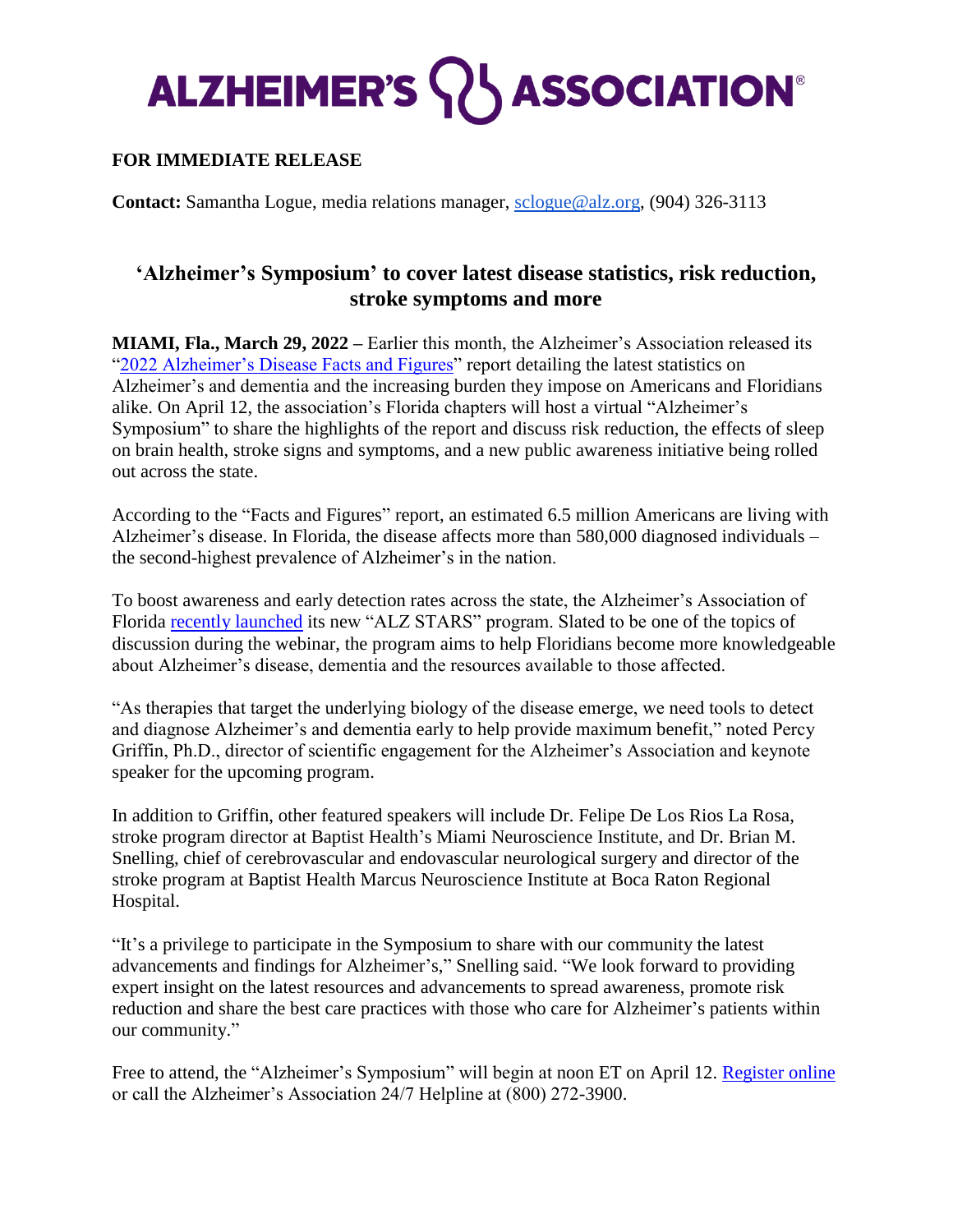## **ALZHEIMER'S WASSOCIATION®**

## **FOR IMMEDIATE RELEASE**

**Contact:** Samantha Logue, media relations manager, [sclogue@alz.org,](mailto:gnperera@alz.org) (904) 326-3113

## **'Alzheimer's Symposium' to cover latest disease statistics, risk reduction, stroke symptoms and more**

**MIAMI, Fla., March 29, 2022 –** Earlier this month, the Alzheimer's Association released its ["2022 Alzheimer's Disease Facts and Figures"](http://www.alz.org/facts) report detailing the latest statistics on Alzheimer's and dementia and the increasing burden they impose on Americans and Floridians alike. On April 12, the association's Florida chapters will host a virtual "Alzheimer's Symposium" to share the highlights of the report and discuss risk reduction, the effects of sleep on brain health, stroke signs and symptoms, and a new public awareness initiative being rolled out across the state.

According to the "Facts and Figures" report, an estimated 6.5 million Americans are living with Alzheimer's disease. In Florida, the disease affects more than 580,000 diagnosed individuals – the second-highest prevalence of Alzheimer's in the nation.

To boost awareness and early detection rates across the state, the Alzheimer's Association of Florida [recently launched](https://www.alz.org/media/cnfl/ALZ-STARS-PR.pdf) its new "ALZ STARS" program. Slated to be one of the topics of discussion during the webinar, the program aims to help Floridians become more knowledgeable about Alzheimer's disease, dementia and the resources available to those affected.

"As therapies that target the underlying biology of the disease emerge, we need tools to detect and diagnose Alzheimer's and dementia early to help provide maximum benefit," noted Percy Griffin, Ph.D., director of scientific engagement for the Alzheimer's Association and keynote speaker for the upcoming program.

In addition to Griffin, other featured speakers will include Dr. Felipe De Los Rios La Rosa, stroke program director at Baptist Health's Miami Neuroscience Institute, and Dr. Brian M. Snelling, chief of cerebrovascular and endovascular neurological surgery and director of the stroke program at Baptist Health Marcus Neuroscience Institute at Boca Raton Regional Hospital.

"It's a privilege to participate in the Symposium to share with our community the latest advancements and findings for Alzheimer's," Snelling said. "We look forward to providing expert insight on the latest resources and advancements to spread awareness, promote risk reduction and share the best care practices with those who care for Alzheimer's patients within our community."

Free to attend, the "Alzheimer's Symposium" will begin at noon ET on April 12. [Register online](https://bit.ly/SymposiumALZ) or call the Alzheimer's Association 24/7 Helpline at (800) 272-3900.